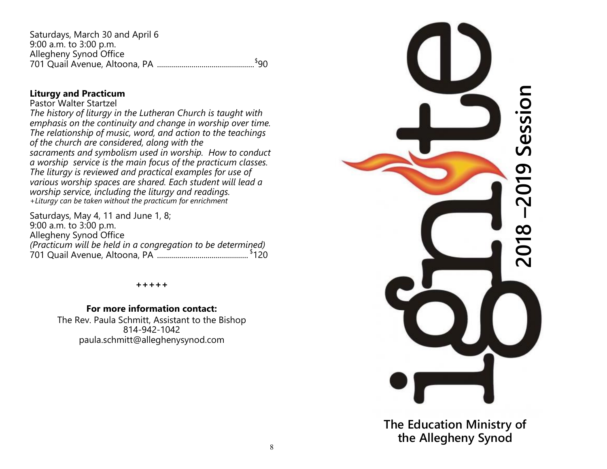Saturdays, March 30 and April 6 9:00 a.m. to 3:00 p.m. Allegheny Synod Office 701 Quail Avenue, Altoona, PA ................................................ \$ 90

#### **Liturgy and Practicum**

#### Pastor Walter Startzel

*The history of liturgy in the Lutheran Church is taught with emphasis on the continuity and change in worship over time. The relationship of music, word, and action to the teachings of the church are considered, along with the sacraments and symbolism used in worship. How to conduct a worship service is the main focus of the practicum classes. The liturgy is reviewed and practical examples for use of various worship spaces are shared. Each student will lead a worship service, including the liturgy and readings. +Liturgy can be taken without the practicum for enrichment*

Saturdays, May 4, 11 and June 1, 8; 9:00 a.m. to 3:00 p.m. Allegheny Synod Office *(Practicum will be held in a congregation to be determined)* 701 Quail Avenue, Altoona, PA ............................................. \$ 120

#### **+++++**

#### **For more information contact:**

The Rev. Paula Schmitt, Assistant to the Bishop 814-942-1042 paula.schmitt@alleghenysynod.com



**The Education Ministry of the Allegheny Synod**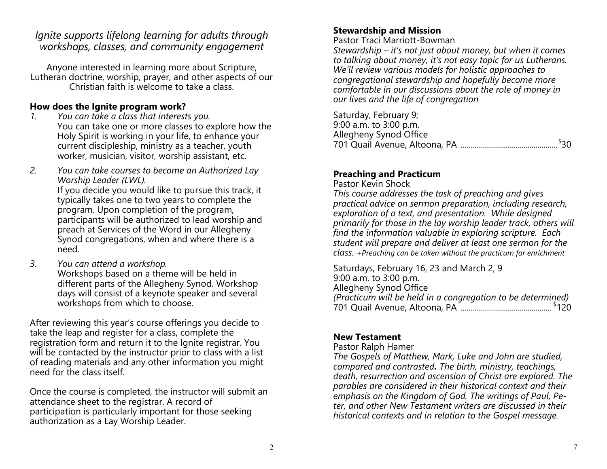# *Ignite supports lifelong learning for adults through workshops, classes, and community engagement*

Anyone interested in learning more about Scripture, Lutheran doctrine, worship, prayer, and other aspects of our Christian faith is welcome to take a class.

#### **How does the Ignite program work?**

- *1. You can take a class that interests you.* You can take one or more classes to explore how the Holy Spirit is working in your life, to enhance your current discipleship, ministry as a teacher, youth worker, musician, visitor, worship assistant, etc.
- *2. You can take courses to become an Authorized Lay Worship Leader (LWL).*  If you decide you would like to pursue this track, it typically takes one to two years to complete the program. Upon completion of the program, participants will be authorized to lead worship and preach at Services of the Word in our Allegheny Synod congregations, when and where there is a need.
- *3. You can attend a workshop.* Workshops based on a theme will be held in different parts of the Allegheny Synod. Workshop days will consist of a keynote speaker and several workshops from which to choose.

After reviewing this year's course offerings you decide to take the leap and register for a class, complete the registration form and return it to the Ignite registrar. You will be contacted by the instructor prior to class with a list of reading materials and any other information you might need for the class itself.

Once the course is completed, the instructor will submit an attendance sheet to the registrar. A record of participation is particularly important for those seeking authorization as a Lay Worship Leader.

# **Stewardship and Mission**

Pastor Traci Marriott-Bowman

*Stewardship – it's not just about money, but when it comes to talking about money, it's not easy topic for us Lutherans. We'll review various models for holistic approaches to congregational stewardship and hopefully become more comfortable in our discussions about the role of money in our lives and the life of congregation*

Saturday, February 9; 9:00 a.m. to 3:00 p.m. Allegheny Synod Office 701 Quail Avenue, Altoona, PA ................................................ \$ 30

# **Preaching and Practicum**

Pastor Kevin Shock

*This course addresses the task of preaching and gives practical advice on sermon preparation, including research, exploration of a text, and presentation. While designed primarily for those in the lay worship leader track, others will find the information valuable in exploring scripture. Each student will prepare and deliver at least one sermon for the class. +Preaching can be taken without the practicum for enrichment*

Saturdays, February 16, 23 and March 2, 9 9:00 a.m. to 3:00 p.m. Allegheny Synod Office *(Practicum will be held in a congregation to be determined)* 701 Quail Avenue, Altoona, PA ............................................. \$ 120

# **New Testament**

Pastor Ralph Hamer

*The Gospels of Matthew, Mark, Luke and John are studied, compared and contrasted. The birth, ministry, teachings, death, resurrection and ascension of Christ are explored. The parables are considered in their historical context and their emphasis on the Kingdom of God. The writings of Paul, Peter, and other New Testament writers are discussed in their historical contexts and in relation to the Gospel message.*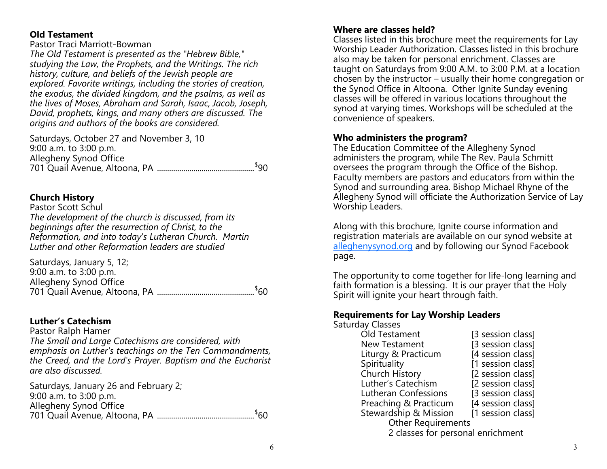#### **Old Testament**

Pastor Traci Marriott-Bowman

*The Old Testament is presented as the "Hebrew Bible," studying the Law, the Prophets, and the Writings. The rich history, culture, and beliefs of the Jewish people are explored. Favorite writings, including the stories of creation, the exodus, the divided kingdom, and the psalms, as well as the lives of Moses, Abraham and Sarah, Isaac, Jacob, Joseph, David, prophets, kings, and many others are discussed. The origins and authors of the books are considered.*

Saturdays, October 27 and November 3, 10 9:00 a.m. to 3:00 p.m. Allegheny Synod Office 701 Quail Avenue, Altoona, PA ................................................ \$ 90

## **Church History**

Pastor Scott Schul *The development of the church is discussed, from its beginnings after the resurrection of Christ, to the Reformation, and into today's Lutheran Church. Martin Luther and other Reformation leaders are studied*

| Saturdays, January 5, 12;  |  |
|----------------------------|--|
| $9:00$ a.m. to $3:00$ p.m. |  |
| Allegheny Synod Office     |  |
|                            |  |

# **Luther's Catechism**

Pastor Ralph Hamer *The Small and Large Catechisms are considered, with emphasis on Luther's teachings on the Ten Commandments, the Creed, and the Lord's Prayer. Baptism and the Eucharist are also discussed.* 

Saturdays, January 26 and February 2; 9:00 a.m. to 3:00 p.m. Allegheny Synod Office 701 Quail Avenue, Altoona, PA ................................................ \$ 60

#### **Where are classes held?**

Classes listed in this brochure meet the requirements for Lay Worship Leader Authorization. Classes listed in this brochure also may be taken for personal enrichment. Classes are taught on Saturdays from 9:00 A.M. to 3:00 P.M. at a location chosen by the instructor – usually their home congregation or the Synod Office in Altoona. Other Ignite Sunday evening classes will be offered in various locations throughout the synod at varying times. Workshops will be scheduled at the convenience of speakers.

## **Who administers the program?**

The Education Committee of the Allegheny Synod administers the program, while The Rev. Paula Schmitt oversees the program through the Office of the Bishop. Faculty members are pastors and educators from within the Synod and surrounding area. Bishop Michael Rhyne of the Allegheny Synod will officiate the Authorization Service of Lay Worship Leaders.

Along with this brochure, Ignite course information and registration materials are available on our synod website at [alleghenysynod.org](http://www.alleghenysynod.org) and by following our Synod Facebook page.

The opportunity to come together for life-long learning and faith formation is a blessing. It is our prayer that the Holy Spirit will ignite your heart through faith.

#### **Requirements for Lay Worship Leaders**

Saturday Classes

| Old Testament                     | [3 session class] |  |  |
|-----------------------------------|-------------------|--|--|
| <b>New Testament</b>              | [3 session class] |  |  |
| Liturgy & Practicum               | [4 session class] |  |  |
| Spirituality                      | [1 session class] |  |  |
| Church History                    | [2 session class] |  |  |
| Luther's Catechism                | [2 session class] |  |  |
| Lutheran Confessions              | [3 session class] |  |  |
| Preaching & Practicum             | [4 session class] |  |  |
| Stewardship & Mission             | [1 session class] |  |  |
| <b>Other Requirements</b>         |                   |  |  |
| 2 classes for personal enrichment |                   |  |  |